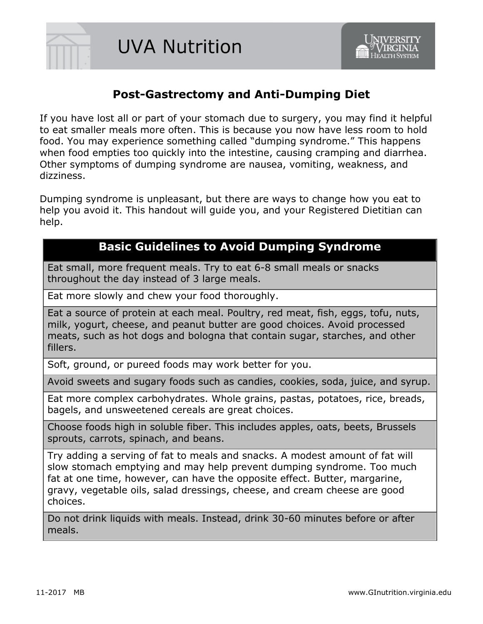

# **Post-Gastrectomy and Anti-Dumping Diet**

If you have lost all or part of your stomach due to surgery, you may find it helpful to eat smaller meals more often. This is because you now have less room to hold food. You may experience something called "dumping syndrome." This happens when food empties too quickly into the intestine, causing cramping and diarrhea. Other symptoms of dumping syndrome are nausea, vomiting, weakness, and dizziness.

Dumping syndrome is unpleasant, but there are ways to change how you eat to help you avoid it. This handout will guide you, and your Registered Dietitian can help.

## **Basic Guidelines to Avoid Dumping Syndrome**

Eat small, more frequent meals. Try to eat 6-8 small meals or snacks throughout the day instead of 3 large meals.

Eat more slowly and chew your food thoroughly.

Eat a source of protein at each meal. Poultry, red meat, fish, eggs, tofu, nuts, milk, yogurt, cheese, and peanut butter are good choices. Avoid processed meats, such as hot dogs and bologna that contain sugar, starches, and other fillers.

Soft, ground, or pureed foods may work better for you.

Avoid sweets and sugary foods such as candies, cookies, soda, juice, and syrup.

Eat more complex carbohydrates. Whole grains, pastas, potatoes, rice, breads, bagels, and unsweetened cereals are great choices.

Choose foods high in soluble fiber. This includes apples, oats, beets, Brussels sprouts, carrots, spinach, and beans.

Try adding a serving of fat to meals and snacks. A modest amount of fat will slow stomach emptying and may help prevent dumping syndrome. Too much fat at one time, however, can have the opposite effect. Butter, margarine, gravy, vegetable oils, salad dressings, cheese, and cream cheese are good choices.

Do not drink liquids with meals. Instead, drink 30-60 minutes before or after meals.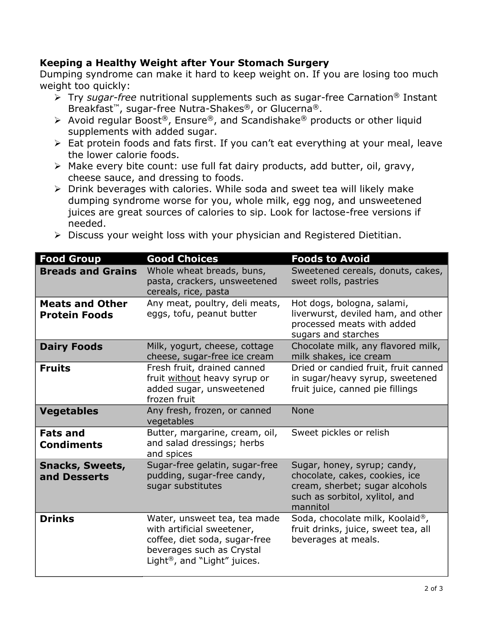## **Keeping a Healthy Weight after Your Stomach Surgery**

Dumping syndrome can make it hard to keep weight on. If you are losing too much weight too quickly:

- Try *sugar-free* nutritional supplements such as sugar-free Carnation® Instant Breakfast™, sugar-free Nutra-Shakes®, or Glucerna®.
- Avoid regular Boost<sup>®</sup>, Ensure<sup>®</sup>, and Scandishake<sup>®</sup> products or other liquid supplements with added sugar.
- > Eat protein foods and fats first. If you can't eat everything at your meal, leave the lower calorie foods.
- Make every bite count: use full fat dairy products, add butter, oil, gravy, cheese sauce, and dressing to foods.
- Drink beverages with calories. While soda and sweet tea will likely make dumping syndrome worse for you, whole milk, egg nog, and unsweetened juices are great sources of calories to sip. Look for lactose-free versions if needed.
- $\triangleright$  Discuss your weight loss with your physician and Registered Dietitian.

| <b>Food Group</b>                              | <b>Good Choices</b>                                                                                                                                                  | <b>Foods to Avoid</b>                                                                                                                         |
|------------------------------------------------|----------------------------------------------------------------------------------------------------------------------------------------------------------------------|-----------------------------------------------------------------------------------------------------------------------------------------------|
| <b>Breads and Grains</b>                       | Whole wheat breads, buns,<br>pasta, crackers, unsweetened<br>cereals, rice, pasta                                                                                    | Sweetened cereals, donuts, cakes,<br>sweet rolls, pastries                                                                                    |
| <b>Meats and Other</b><br><b>Protein Foods</b> | Any meat, poultry, deli meats,<br>eggs, tofu, peanut butter                                                                                                          | Hot dogs, bologna, salami,<br>liverwurst, deviled ham, and other<br>processed meats with added<br>sugars and starches                         |
| <b>Dairy Foods</b>                             | Milk, yogurt, cheese, cottage<br>cheese, sugar-free ice cream                                                                                                        | Chocolate milk, any flavored milk,<br>milk shakes, ice cream                                                                                  |
| <b>Fruits</b>                                  | Fresh fruit, drained canned<br>fruit without heavy syrup or<br>added sugar, unsweetened<br>frozen fruit                                                              | Dried or candied fruit, fruit canned<br>in sugar/heavy syrup, sweetened<br>fruit juice, canned pie fillings                                   |
| <b>Vegetables</b>                              | Any fresh, frozen, or canned<br>vegetables                                                                                                                           | <b>None</b>                                                                                                                                   |
| <b>Fats and</b><br><b>Condiments</b>           | Butter, margarine, cream, oil,<br>and salad dressings; herbs<br>and spices                                                                                           | Sweet pickles or relish                                                                                                                       |
| <b>Snacks, Sweets,</b><br>and Desserts         | Sugar-free gelatin, sugar-free<br>pudding, sugar-free candy,<br>sugar substitutes                                                                                    | Sugar, honey, syrup; candy,<br>chocolate, cakes, cookies, ice<br>cream, sherbet; sugar alcohols<br>such as sorbitol, xylitol, and<br>mannitol |
| <b>Drinks</b>                                  | Water, unsweet tea, tea made<br>with artificial sweetener,<br>coffee, diet soda, sugar-free<br>beverages such as Crystal<br>Light <sup>®</sup> , and "Light" juices. | Soda, chocolate milk, Koolaid®,<br>fruit drinks, juice, sweet tea, all<br>beverages at meals.                                                 |